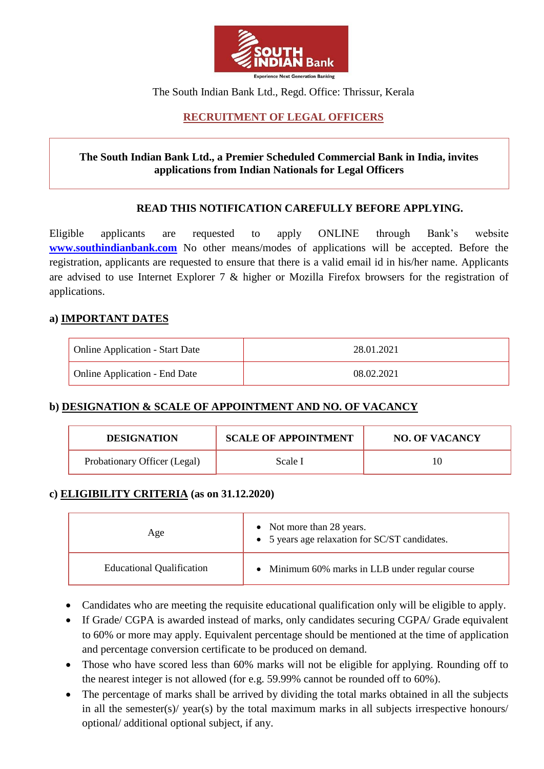

### The South Indian Bank Ltd., Regd. Office: Thrissur, Kerala

# **RECRUITMENT OF LEGAL OFFICERS**

### **The South Indian Bank Ltd., a Premier Scheduled Commercial Bank in India, invites applications from Indian Nationals for Legal Officers**

### **READ THIS NOTIFICATION CAREFULLY BEFORE APPLYING.**

Eligible applicants are requested to apply ONLINE through Bank's website **[www.southindianbank.com](http://www.southindianbank.com/)** No other means/modes of applications will be accepted. Before the registration, applicants are requested to ensure that there is a valid email id in his/her name. Applicants are advised to use Internet Explorer 7 & higher or Mozilla Firefox browsers for the registration of applications.

#### **a) IMPORTANT DATES**

| <b>Online Application - Start Date</b> | 28.01.2021 |
|----------------------------------------|------------|
| <b>Online Application - End Date</b>   | 08.02.2021 |

### **b) DESIGNATION & SCALE OF APPOINTMENT AND NO. OF VACANCY**

| <b>DESIGNATION</b>           | <b>SCALE OF APPOINTMENT</b> | <b>NO. OF VACANCY</b> |
|------------------------------|-----------------------------|-----------------------|
| Probationary Officer (Legal) | Scale I                     |                       |

### **c) ELIGIBILITY CRITERIA (as on 31.12.2020)**

| Age                              | • Not more than 28 years.<br>• 5 years age relaxation for SC/ST candidates. |
|----------------------------------|-----------------------------------------------------------------------------|
| <b>Educational Qualification</b> | • Minimum 60% marks in LLB under regular course                             |

- Candidates who are meeting the requisite educational qualification only will be eligible to apply.
- If Grade/ CGPA is awarded instead of marks, only candidates securing CGPA/ Grade equivalent to 60% or more may apply. Equivalent percentage should be mentioned at the time of application and percentage conversion certificate to be produced on demand.
- Those who have scored less than 60% marks will not be eligible for applying. Rounding off to the nearest integer is not allowed (for e.g. 59.99% cannot be rounded off to 60%).
- The percentage of marks shall be arrived by dividing the total marks obtained in all the subjects in all the semester(s)/ year(s) by the total maximum marks in all subjects irrespective honours/ optional/ additional optional subject, if any.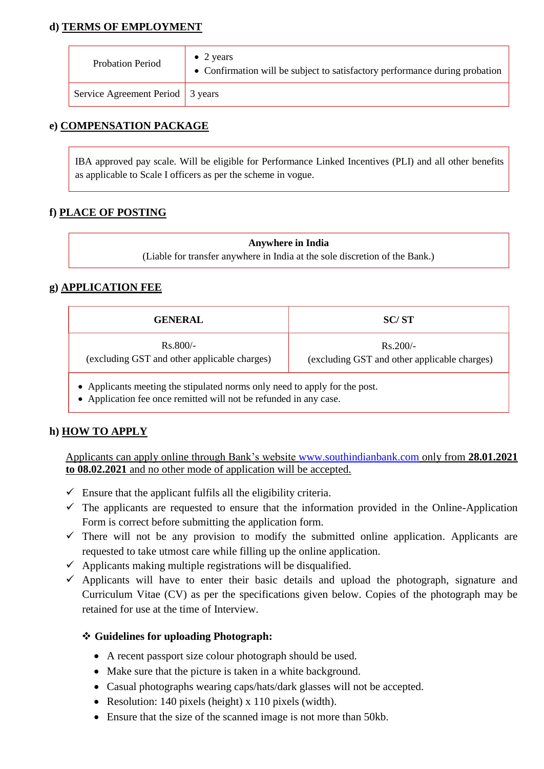## **d) TERMS OF EMPLOYMENT**

| Probation Period                 | $\bullet$ 2 years<br>• Confirmation will be subject to satisfactory performance during probation |
|----------------------------------|--------------------------------------------------------------------------------------------------|
| Service Agreement Period 3 years |                                                                                                  |

### **e) COMPENSATION PACKAGE**

IBA approved pay scale. Will be eligible for Performance Linked Incentives (PLI) and all other benefits as applicable to Scale I officers as per the scheme in vogue.

### **f) PLACE OF POSTING**

**Anywhere in India** (Liable for transfer anywhere in India at the sole discretion of the Bank.)

### **g) APPLICATION FEE**

| <b>GENERAL</b>                                                           | SC/ST                                                      |  |
|--------------------------------------------------------------------------|------------------------------------------------------------|--|
| $Rs.800/-$<br>(excluding GST and other applicable charges)               | $Rs.200/-$<br>(excluding GST and other applicable charges) |  |
| Applicants meeting the stipulated norms only need to apply for the post. |                                                            |  |

Application fee once remitted will not be refunded in any case.

### **h) HOW TO APPLY**

Applicants can apply online through Bank's website [www.southindianbank.com](http://www.southindianbank.com/) only from **28.01.2021 to 08.02.2021** and no other mode of application will be accepted.

- $\checkmark$  Ensure that the applicant fulfils all the eligibility criteria.
- $\checkmark$  The applicants are requested to ensure that the information provided in the Online-Application Form is correct before submitting the application form.
- $\checkmark$  There will not be any provision to modify the submitted online application. Applicants are requested to take utmost care while filling up the online application.
- $\checkmark$  Applicants making multiple registrations will be disqualified.
- $\checkmark$  Applicants will have to enter their basic details and upload the photograph, signature and Curriculum Vitae (CV) as per the specifications given below. Copies of the photograph may be retained for use at the time of Interview.

### **Guidelines for uploading Photograph:**

- A recent passport size colour photograph should be used.
- Make sure that the picture is taken in a white background.
- Casual photographs wearing caps/hats/dark glasses will not be accepted.
- Resolution: 140 pixels (height) x 110 pixels (width).
- Ensure that the size of the scanned image is not more than 50kb.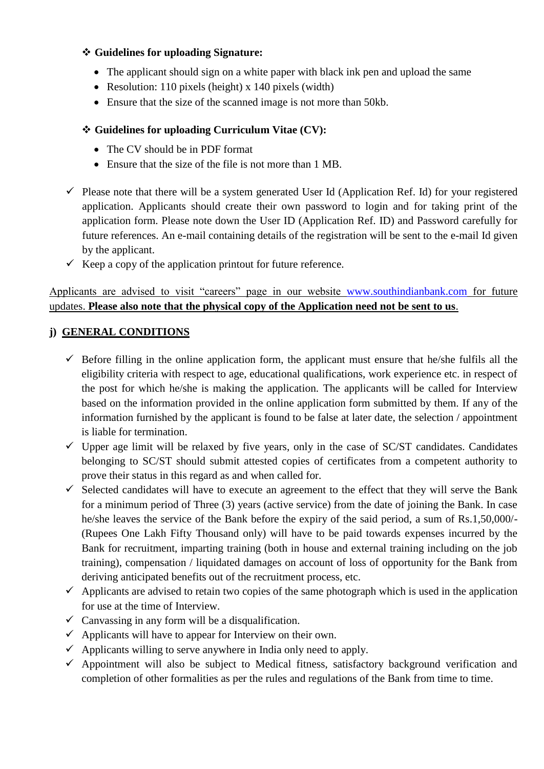### **Guidelines for uploading Signature:**

- The applicant should sign on a white paper with black ink pen and upload the same
- Resolution: 110 pixels (height) x 140 pixels (width)
- Ensure that the size of the scanned image is not more than 50kb.

## **Guidelines for uploading Curriculum Vitae (CV):**

- The CV should be in PDF format
- Ensure that the size of the file is not more than 1 MB.
- $\checkmark$  Please note that there will be a system generated User Id (Application Ref. Id) for your registered application. Applicants should create their own password to login and for taking print of the application form. Please note down the User ID (Application Ref. ID) and Password carefully for future references. An e-mail containing details of the registration will be sent to the e-mail Id given by the applicant.
- $\checkmark$  Keep a copy of the application printout for future reference.

Applicants are advised to visit "careers" page in our website [www.southindianbank.com](http://www.southindianbank.com/) for future updates. **Please also note that the physical copy of the Application need not be sent to us**.

### **j) GENERAL CONDITIONS**

- $\checkmark$  Before filling in the online application form, the applicant must ensure that he/she fulfils all the eligibility criteria with respect to age, educational qualifications, work experience etc. in respect of the post for which he/she is making the application. The applicants will be called for Interview based on the information provided in the online application form submitted by them. If any of the information furnished by the applicant is found to be false at later date, the selection / appointment is liable for termination.
- $\checkmark$  Upper age limit will be relaxed by five years, only in the case of SC/ST candidates. Candidates belonging to SC/ST should submit attested copies of certificates from a competent authority to prove their status in this regard as and when called for.
- $\checkmark$  Selected candidates will have to execute an agreement to the effect that they will serve the Bank for a minimum period of Three (3) years (active service) from the date of joining the Bank. In case he/she leaves the service of the Bank before the expiry of the said period, a sum of Rs.1,50,000/- (Rupees One Lakh Fifty Thousand only) will have to be paid towards expenses incurred by the Bank for recruitment, imparting training (both in house and external training including on the job training), compensation / liquidated damages on account of loss of opportunity for the Bank from deriving anticipated benefits out of the recruitment process, etc.
- $\checkmark$  Applicants are advised to retain two copies of the same photograph which is used in the application for use at the time of Interview.
- $\checkmark$  Canvassing in any form will be a disqualification.
- $\checkmark$  Applicants will have to appear for Interview on their own.
- $\checkmark$  Applicants willing to serve anywhere in India only need to apply.
- $\checkmark$  Appointment will also be subject to Medical fitness, satisfactory background verification and completion of other formalities as per the rules and regulations of the Bank from time to time.